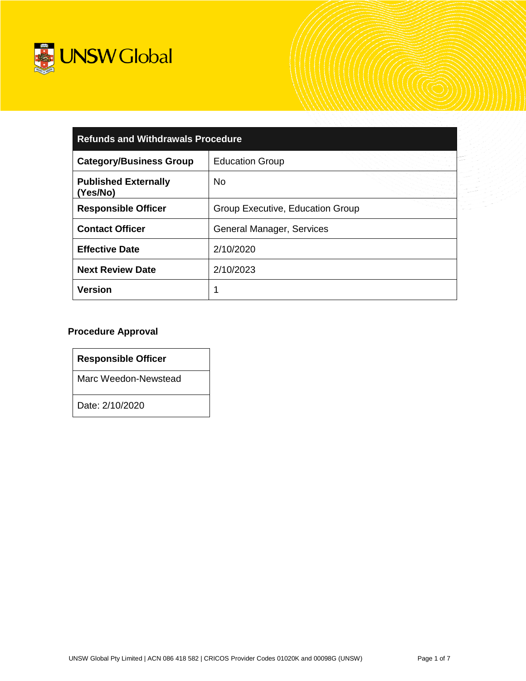

| <b>Refunds and Withdrawals Procedure</b>                 |                                  |  |
|----------------------------------------------------------|----------------------------------|--|
| <b>Category/Business Group</b><br><b>Education Group</b> |                                  |  |
| <b>Published Externally</b><br>(Yes/No)                  | No.                              |  |
| <b>Responsible Officer</b>                               | Group Executive, Education Group |  |
| <b>Contact Officer</b>                                   | General Manager, Services        |  |
| <b>Effective Date</b>                                    | 2/10/2020                        |  |
| <b>Next Review Date</b>                                  | 2/10/2023                        |  |
| <b>Version</b>                                           | 1                                |  |

### **Procedure Approval**

**Responsible Officer**

Marc Weedon-Newstead

Date: 2/10/2020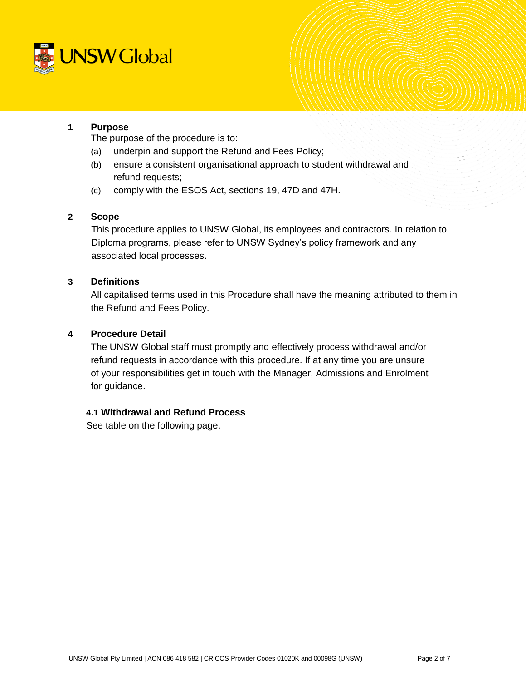

### **1 Purpose**

The purpose of the procedure is to:

- (a) underpin and support the Refund and Fees Policy;
- (b) ensure a consistent organisational approach to student withdrawal and refund requests;
- (c) comply with the ESOS Act, sections 19, 47D and 47H.

### **2 Scope**

This procedure applies to UNSW Global, its employees and contractors. In relation to Diploma programs, please refer to UNSW Sydney's policy framework and any associated local processes.

### **3 Definitions**

All capitalised terms used in this Procedure shall have the meaning attributed to them in the Refund and Fees Policy.

### **4 Procedure Detail**

The UNSW Global staff must promptly and effectively process withdrawal and/or refund requests in accordance with this procedure. If at any time you are unsure of your responsibilities get in touch with the Manager, Admissions and Enrolment for guidance.

### **4.1 Withdrawal and Refund Process**

See table on the following page.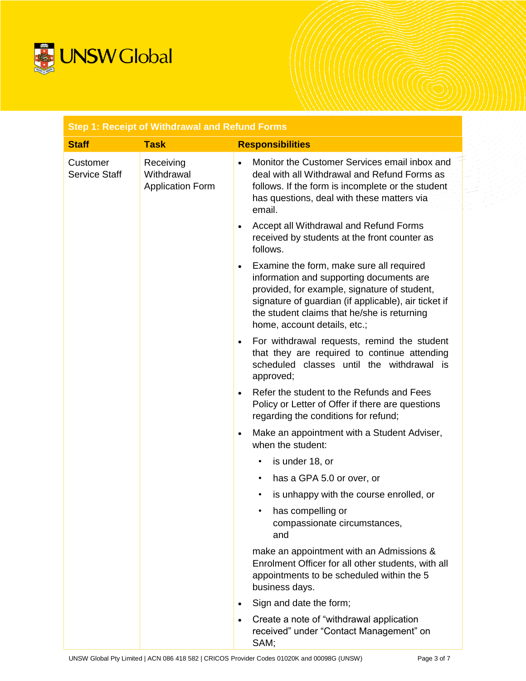

| <b>Step 1: Receipt of Withdrawal and Refund Forms</b> |                                                    |                                                                                                                                                                                                                                                                                          |
|-------------------------------------------------------|----------------------------------------------------|------------------------------------------------------------------------------------------------------------------------------------------------------------------------------------------------------------------------------------------------------------------------------------------|
| <b>Staff</b>                                          | <b>Task</b>                                        | <b>Responsibilities</b>                                                                                                                                                                                                                                                                  |
| Customer<br>Service Staff                             | Receiving<br>Withdrawal<br><b>Application Form</b> | Monitor the Customer Services email inbox and<br>$\bullet$<br>deal with all Withdrawal and Refund Forms as<br>follows. If the form is incomplete or the student<br>has questions, deal with these matters via<br>email.                                                                  |
|                                                       |                                                    | Accept all Withdrawal and Refund Forms<br>received by students at the front counter as<br>follows.                                                                                                                                                                                       |
|                                                       |                                                    | Examine the form, make sure all required<br>$\bullet$<br>information and supporting documents are<br>provided, for example, signature of student,<br>signature of guardian (if applicable), air ticket if<br>the student claims that he/she is returning<br>home, account details, etc.; |
|                                                       |                                                    | For withdrawal requests, remind the student<br>$\bullet$<br>that they are required to continue attending<br>scheduled classes until the withdrawal is<br>approved;                                                                                                                       |
|                                                       |                                                    | Refer the student to the Refunds and Fees<br>$\bullet$<br>Policy or Letter of Offer if there are questions<br>regarding the conditions for refund;                                                                                                                                       |
|                                                       |                                                    | Make an appointment with a Student Adviser,<br>$\bullet$<br>when the student:                                                                                                                                                                                                            |
|                                                       |                                                    | is under 18, or<br>$\bullet$                                                                                                                                                                                                                                                             |
|                                                       |                                                    | has a GPA 5.0 or over, or<br>$\bullet$                                                                                                                                                                                                                                                   |
|                                                       |                                                    | is unhappy with the course enrolled, or<br>$\bullet$                                                                                                                                                                                                                                     |
|                                                       |                                                    | has compelling or<br>compassionate circumstances,<br>and                                                                                                                                                                                                                                 |
|                                                       |                                                    | make an appointment with an Admissions &<br>Enrolment Officer for all other students, with all<br>appointments to be scheduled within the 5<br>business days.                                                                                                                            |
|                                                       |                                                    | Sign and date the form;                                                                                                                                                                                                                                                                  |
|                                                       |                                                    | Create a note of "withdrawal application<br>$\bullet$<br>received" under "Contact Management" on<br>SAM;                                                                                                                                                                                 |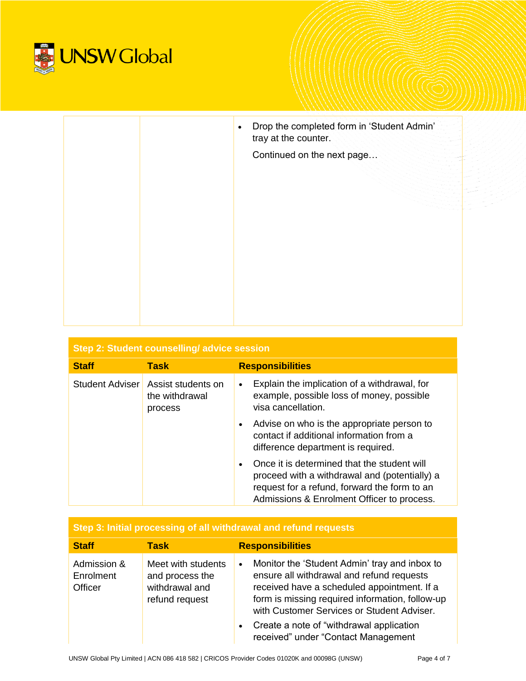

| Drop the completed form in 'Student Admin'<br>$\bullet$<br>tray at the counter. |
|---------------------------------------------------------------------------------|
| Continued on the next page                                                      |
|                                                                                 |
|                                                                                 |
|                                                                                 |
|                                                                                 |
|                                                                                 |
|                                                                                 |
|                                                                                 |
|                                                                                 |

| Step 2: Student counselling/advice session |                                                 |                                                                                                                                                                                                         |
|--------------------------------------------|-------------------------------------------------|---------------------------------------------------------------------------------------------------------------------------------------------------------------------------------------------------------|
| <b>Staff</b>                               | <b>Task</b>                                     | <b>Responsibilities</b>                                                                                                                                                                                 |
| Student Adviser                            | Assist students on<br>the withdrawal<br>process | Explain the implication of a withdrawal, for<br>$\bullet$<br>example, possible loss of money, possible<br>visa cancellation.                                                                            |
|                                            |                                                 | Advise on who is the appropriate person to<br>$\bullet$<br>contact if additional information from a<br>difference department is required.                                                               |
|                                            |                                                 | Once it is determined that the student will<br>$\bullet$<br>proceed with a withdrawal and (potentially) a<br>request for a refund, forward the form to an<br>Admissions & Enrolment Officer to process. |

| Step 3: Initial processing of all withdrawal and refund requests |                                                                           |                                                                                                                                                                                                                                                         |  |
|------------------------------------------------------------------|---------------------------------------------------------------------------|---------------------------------------------------------------------------------------------------------------------------------------------------------------------------------------------------------------------------------------------------------|--|
| <b>Staff</b>                                                     | <b>Task</b>                                                               | <b>Responsibilities</b>                                                                                                                                                                                                                                 |  |
| Admission &<br>Enrolment<br>Officer                              | Meet with students<br>and process the<br>withdrawal and<br>refund request | Monitor the 'Student Admin' tray and inbox to<br>$\bullet$<br>ensure all withdrawal and refund requests<br>received have a scheduled appointment. If a<br>form is missing required information, follow-up<br>with Customer Services or Student Adviser. |  |
|                                                                  |                                                                           | Create a note of "withdrawal application"<br>$\bullet$<br>received" under "Contact Management                                                                                                                                                           |  |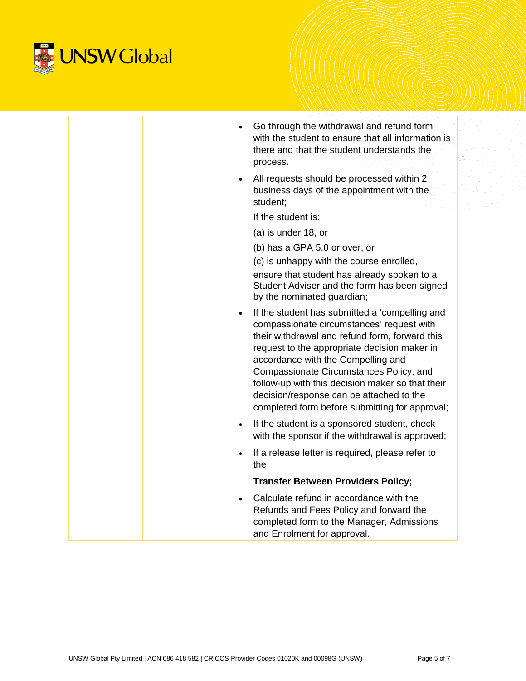

|           | Go through the withdrawal and refund form<br>with the student to ensure that all information is<br>there and that the student understands the<br>process.                                                                                                                                                                                                                                                                        |
|-----------|----------------------------------------------------------------------------------------------------------------------------------------------------------------------------------------------------------------------------------------------------------------------------------------------------------------------------------------------------------------------------------------------------------------------------------|
| $\bullet$ | All requests should be processed within 2<br>business days of the appointment with the<br>student:                                                                                                                                                                                                                                                                                                                               |
|           | If the student is:                                                                                                                                                                                                                                                                                                                                                                                                               |
|           | $(a)$ is under 18, or                                                                                                                                                                                                                                                                                                                                                                                                            |
|           | (b) has a GPA 5.0 or over, or<br>(c) is unhappy with the course enrolled,<br>ensure that student has already spoken to a<br>Student Adviser and the form has been signed<br>by the nominated guardian;                                                                                                                                                                                                                           |
| $\bullet$ | If the student has submitted a 'compelling and<br>compassionate circumstances' request with<br>their withdrawal and refund form, forward this<br>request to the appropriate decision maker in<br>accordance with the Compelling and<br>Compassionate Circumstances Policy, and<br>follow-up with this decision maker so that their<br>decision/response can be attached to the<br>completed form before submitting for approval; |
| $\bullet$ | If the student is a sponsored student, check<br>with the sponsor if the withdrawal is approved;                                                                                                                                                                                                                                                                                                                                  |
| $\bullet$ | If a release letter is required, please refer to<br>the                                                                                                                                                                                                                                                                                                                                                                          |
|           | <b>Transfer Between Providers Policy;</b>                                                                                                                                                                                                                                                                                                                                                                                        |
| $\bullet$ | Calculate refund in accordance with the<br>Refunds and Fees Policy and forward the<br>completed form to the Manager, Admissions<br>and Enrolment for approval.                                                                                                                                                                                                                                                                   |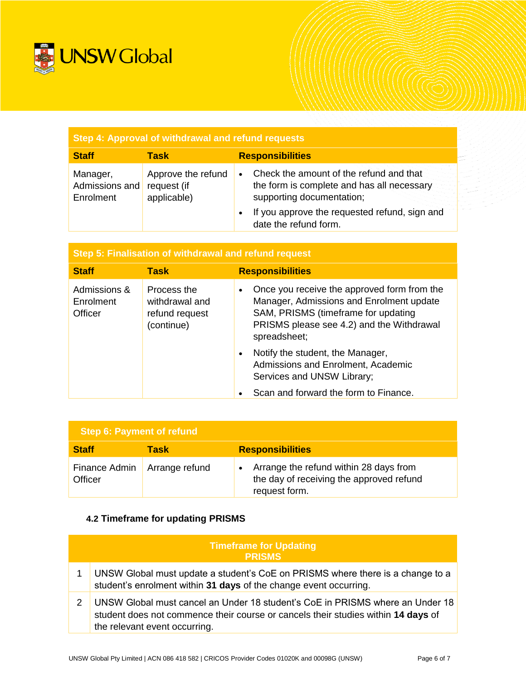

| Step 4: Approval of withdrawal and refund requests |                                                  |                                                                                                                                 |
|----------------------------------------------------|--------------------------------------------------|---------------------------------------------------------------------------------------------------------------------------------|
| <b>Staff</b>                                       | Task                                             | <b>Responsibilities</b>                                                                                                         |
| Manager,<br>Admissions and<br>Enrolment            | Approve the refund<br>request (if<br>applicable) | Check the amount of the refund and that<br>$\bullet$<br>the form is complete and has all necessary<br>supporting documentation; |
|                                                    |                                                  | If you approve the requested refund, sign and<br>$\bullet$<br>date the refund form.                                             |

| Step 5: Finalisation of withdrawal and refund request |                                                               |                                                                                                                                                                                                          |  |
|-------------------------------------------------------|---------------------------------------------------------------|----------------------------------------------------------------------------------------------------------------------------------------------------------------------------------------------------------|--|
| <b>Staff</b>                                          | Task                                                          | <b>Responsibilities</b>                                                                                                                                                                                  |  |
| Admissions &<br>Enrolment<br>Officer                  | Process the<br>withdrawal and<br>refund request<br>(continue) | Once you receive the approved form from the<br>$\bullet$<br>Manager, Admissions and Enrolment update<br>SAM, PRISMS (timeframe for updating<br>PRISMS please see 4.2) and the Withdrawal<br>spreadsheet; |  |
|                                                       |                                                               | Notify the student, the Manager,<br>$\bullet$<br>Admissions and Enrolment, Academic<br>Services and UNSW Library;<br>Scan and forward the form to Finance.                                               |  |

| Step 6: Payment of refund |                |                                                                                                     |
|---------------------------|----------------|-----------------------------------------------------------------------------------------------------|
| <b>Staff</b>              | Task           | <b>Responsibilities</b>                                                                             |
| Finance Admin<br>Officer  | Arrange refund | Arrange the refund within 28 days from<br>the day of receiving the approved refund<br>request form. |

# **4.2 Timeframe for updating PRISMS**

| <b>Timeframe for Updating</b><br><b>PRISMS</b>                                                                                                                                                      |  |  |
|-----------------------------------------------------------------------------------------------------------------------------------------------------------------------------------------------------|--|--|
| UNSW Global must update a student's CoE on PRISMS where there is a change to a<br>student's enrolment within 31 days of the change event occurring.                                                 |  |  |
| UNSW Global must cancel an Under 18 student's CoE in PRISMS where an Under 18<br>student does not commence their course or cancels their studies within 14 days of<br>the relevant event occurring. |  |  |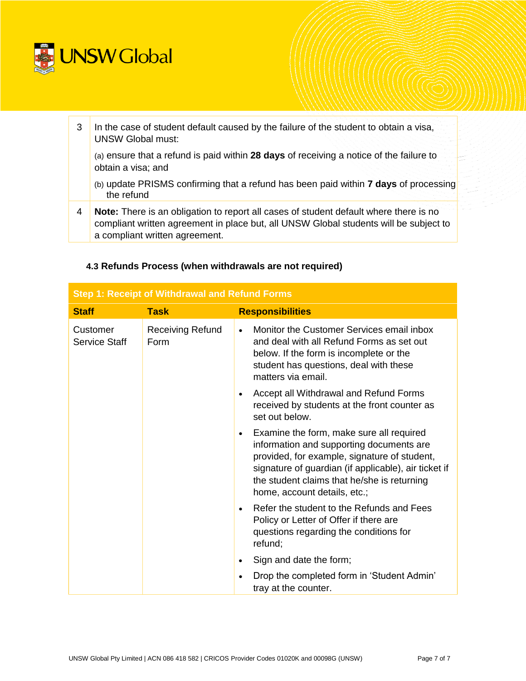

| 3 | In the case of student default caused by the failure of the student to obtain a visa,<br><b>UNSW Global must:</b>                                                                                                |
|---|------------------------------------------------------------------------------------------------------------------------------------------------------------------------------------------------------------------|
|   | (a) ensure that a refund is paid within 28 days of receiving a notice of the failure to<br>obtain a visa; and                                                                                                    |
|   | (b) update PRISMS confirming that a refund has been paid within <b>7 days</b> of processing<br>the refund                                                                                                        |
| 4 | Note: There is an obligation to report all cases of student default where there is no<br>compliant written agreement in place but, all UNSW Global students will be subject to<br>a compliant written agreement. |

| <b>Step 1: Receipt of Withdrawal and Refund Forms</b> |                                 |                                                                                                                                                                                                                                                                                          |
|-------------------------------------------------------|---------------------------------|------------------------------------------------------------------------------------------------------------------------------------------------------------------------------------------------------------------------------------------------------------------------------------------|
| <b>Staff</b>                                          | <b>Task</b>                     | <b>Responsibilities</b>                                                                                                                                                                                                                                                                  |
| Customer<br>Service Staff                             | <b>Receiving Refund</b><br>Form | Monitor the Customer Services email inbox<br>$\bullet$<br>and deal with all Refund Forms as set out<br>below. If the form is incomplete or the<br>student has questions, deal with these<br>matters via email.                                                                           |
|                                                       |                                 | Accept all Withdrawal and Refund Forms<br>$\bullet$<br>received by students at the front counter as<br>set out below.                                                                                                                                                                    |
|                                                       |                                 | Examine the form, make sure all required<br>$\bullet$<br>information and supporting documents are<br>provided, for example, signature of student,<br>signature of guardian (if applicable), air ticket if<br>the student claims that he/she is returning<br>home, account details, etc.; |
|                                                       |                                 | Refer the student to the Refunds and Fees<br>$\bullet$<br>Policy or Letter of Offer if there are<br>questions regarding the conditions for<br>refund;                                                                                                                                    |
|                                                       |                                 | Sign and date the form;<br>$\bullet$                                                                                                                                                                                                                                                     |
|                                                       |                                 | Drop the completed form in 'Student Admin'<br>$\bullet$<br>tray at the counter.                                                                                                                                                                                                          |

## **4.3 Refunds Process (when withdrawals are not required)**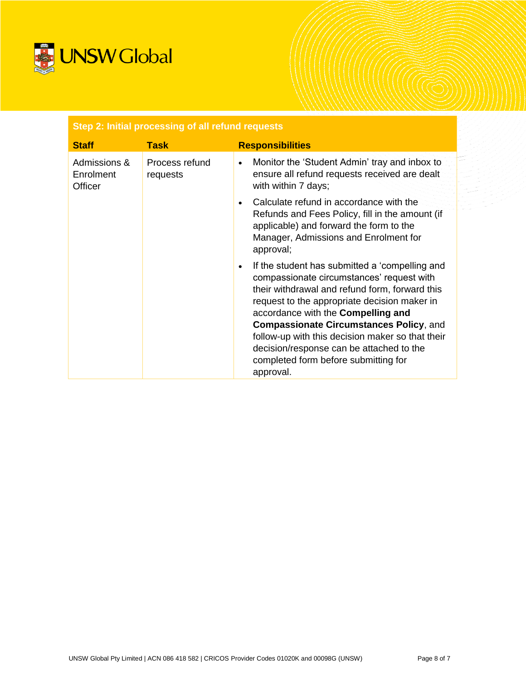

| Step 2: Initial processing of all refund requests |                            |                                                                                                                                                                                                                                                                                                                                                                                                                                                         |  |  |
|---------------------------------------------------|----------------------------|---------------------------------------------------------------------------------------------------------------------------------------------------------------------------------------------------------------------------------------------------------------------------------------------------------------------------------------------------------------------------------------------------------------------------------------------------------|--|--|
| <b>Staff</b>                                      | <b>Task</b>                | <b>Responsibilities</b>                                                                                                                                                                                                                                                                                                                                                                                                                                 |  |  |
| Admissions &<br>Enrolment<br>Officer              | Process refund<br>requests | Monitor the 'Student Admin' tray and inbox to<br>$\bullet$<br>ensure all refund requests received are dealt<br>with within 7 days;                                                                                                                                                                                                                                                                                                                      |  |  |
|                                                   |                            | Calculate refund in accordance with the<br>$\bullet$<br>Refunds and Fees Policy, fill in the amount (if<br>applicable) and forward the form to the<br>Manager, Admissions and Enrolment for<br>approval;                                                                                                                                                                                                                                                |  |  |
|                                                   |                            | If the student has submitted a 'compelling and<br>$\bullet$<br>compassionate circumstances' request with<br>their withdrawal and refund form, forward this<br>request to the appropriate decision maker in<br>accordance with the Compelling and<br><b>Compassionate Circumstances Policy, and</b><br>follow-up with this decision maker so that their<br>decision/response can be attached to the<br>completed form before submitting for<br>approval. |  |  |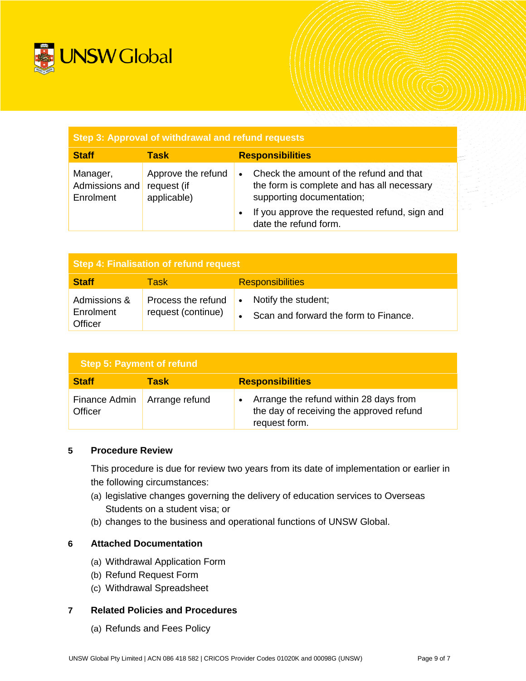

| Step 3: Approval of withdrawal and refund requests |                                                  |                                                                                                                    |  |  |  |
|----------------------------------------------------|--------------------------------------------------|--------------------------------------------------------------------------------------------------------------------|--|--|--|
| <b>Staff</b>                                       | Task                                             | <b>Responsibilities</b>                                                                                            |  |  |  |
| Manager,<br>Admissions and<br>Enrolment            | Approve the refund<br>request (if<br>applicable) | Check the amount of the refund and that<br>the form is complete and has all necessary<br>supporting documentation; |  |  |  |
|                                                    |                                                  | If you approve the requested refund, sign and<br>date the refund form.                                             |  |  |  |

| <b>Step 4: Finalisation of refund request</b> |                                          |                                                                           |  |  |  |
|-----------------------------------------------|------------------------------------------|---------------------------------------------------------------------------|--|--|--|
| <b>Staff</b>                                  | Task                                     | <b>Responsibilities</b>                                                   |  |  |  |
| Admissions &<br>Enrolment<br>Officer          | Process the refund<br>request (continue) | Notify the student;<br>$\bullet$<br>Scan and forward the form to Finance. |  |  |  |

| Step 5: Payment of refund |                |                                                                                                     |  |  |
|---------------------------|----------------|-----------------------------------------------------------------------------------------------------|--|--|
| <b>Staff</b>              | Task           | <b>Responsibilities</b>                                                                             |  |  |
| Finance Admin<br>Officer  | Arrange refund | Arrange the refund within 28 days from<br>the day of receiving the approved refund<br>request form. |  |  |

### **5 Procedure Review**

This procedure is due for review two years from its date of implementation or earlier in the following circumstances:

- (a) legislative changes governing the delivery of education services to Overseas Students on a student visa; or
- (b) changes to the business and operational functions of UNSW Global.

### **6 Attached Documentation**

- (a) Withdrawal Application Form
- (b) Refund Request Form
- (c) Withdrawal Spreadsheet

### **7 Related Policies and Procedures**

(a) Refunds and Fees Policy